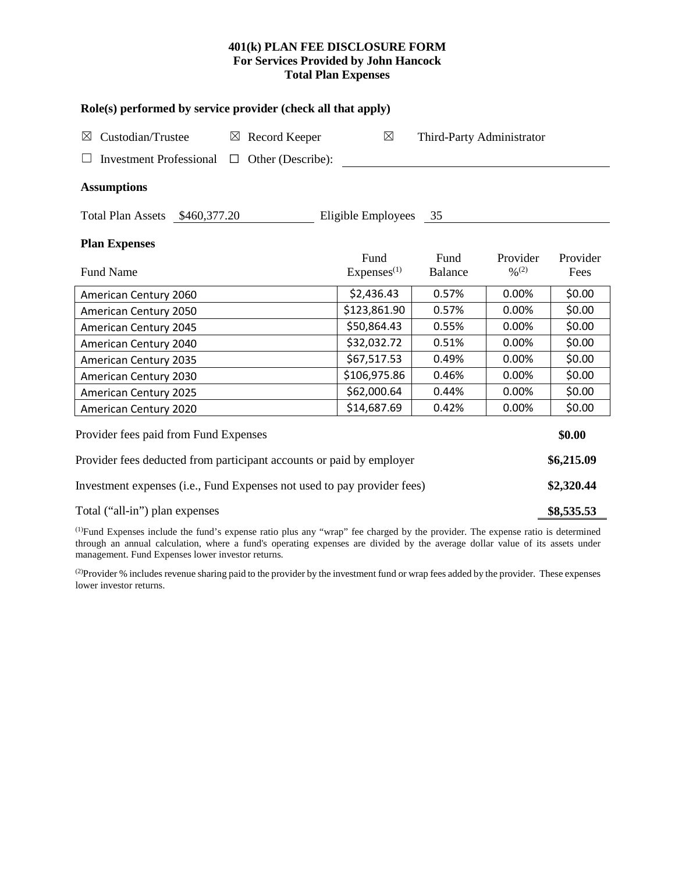## **401(k) PLAN FEE DISCLOSURE FORM For Services Provided by John Hancock Total Plan Expenses**

| Role(s) performed by service provider (check all that apply)            |                                          |                 |                               |                  |  |  |  |  |  |
|-------------------------------------------------------------------------|------------------------------------------|-----------------|-------------------------------|------------------|--|--|--|--|--|
| Custodian/Trustee<br>$\boxtimes$ Record Keeper<br>$\boxtimes$           | $\boxtimes$<br>Third-Party Administrator |                 |                               |                  |  |  |  |  |  |
| <b>Investment Professional</b><br>Other (Describe):<br>$\Box$           |                                          |                 |                               |                  |  |  |  |  |  |
| <b>Assumptions</b>                                                      |                                          |                 |                               |                  |  |  |  |  |  |
| Total Plan Assets \$460,377.20                                          | Eligible Employees                       | 35              |                               |                  |  |  |  |  |  |
| <b>Plan Expenses</b>                                                    |                                          |                 |                               |                  |  |  |  |  |  |
| <b>Fund Name</b>                                                        | Fund<br>Express <sup>(1)</sup>           | Fund<br>Balance | Provider<br>$\frac{0}{0}$ (2) | Provider<br>Fees |  |  |  |  |  |
| American Century 2060                                                   | \$2,436.43                               | 0.57%           | 0.00%                         | \$0.00           |  |  |  |  |  |
| American Century 2050                                                   | \$123,861.90                             | 0.57%           | 0.00%                         | \$0.00           |  |  |  |  |  |
| American Century 2045                                                   | \$50,864.43                              | 0.55%           | 0.00%                         | \$0.00           |  |  |  |  |  |
| American Century 2040                                                   | \$32,032.72                              | 0.51%           | 0.00%                         | \$0.00           |  |  |  |  |  |
| American Century 2035                                                   | \$67,517.53                              | 0.49%           | 0.00%                         | \$0.00           |  |  |  |  |  |
| American Century 2030                                                   | \$106,975.86                             | 0.46%           | 0.00%                         | \$0.00           |  |  |  |  |  |
| American Century 2025                                                   | \$62,000.64                              | 0.44%           | 0.00%                         | \$0.00           |  |  |  |  |  |
| American Century 2020                                                   | \$14,687.69                              | 0.42%           | 0.00%                         | \$0.00           |  |  |  |  |  |
| Provider fees paid from Fund Expenses                                   |                                          |                 |                               | \$0.00           |  |  |  |  |  |
| Provider fees deducted from participant accounts or paid by employer    |                                          |                 |                               |                  |  |  |  |  |  |
| Investment expenses (i.e., Fund Expenses not used to pay provider fees) |                                          |                 |                               |                  |  |  |  |  |  |
| Total ("all-in") plan expenses                                          |                                          |                 |                               |                  |  |  |  |  |  |

(1) Fund Expenses include the fund's expense ratio plus any "wrap" fee charged by the provider. The expense ratio is determined through an annual calculation, where a fund's operating expenses are divided by the average dollar value of its assets under management. Fund Expenses lower investor returns.

(2) Provider % includes revenue sharing paid to the provider by the investment fund or wrap fees added by the provider. These expenses lower investor returns.